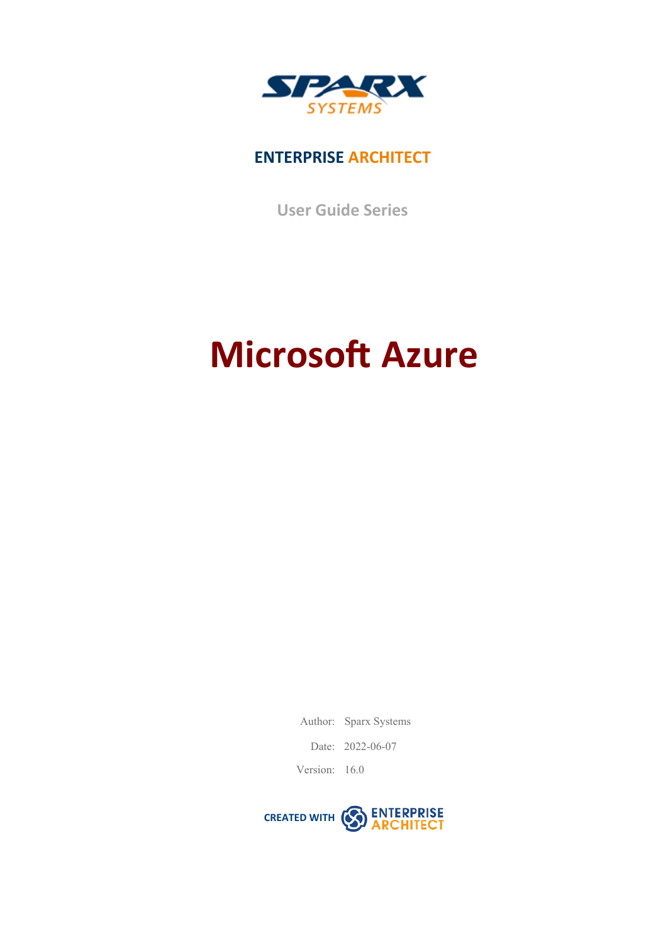

### **ENTERPRISE ARCHITECT**

**User Guide Series**

# **Microsoft Azure**

Author: Sparx Systems

Date: 2022-06-07

Version: 16.0

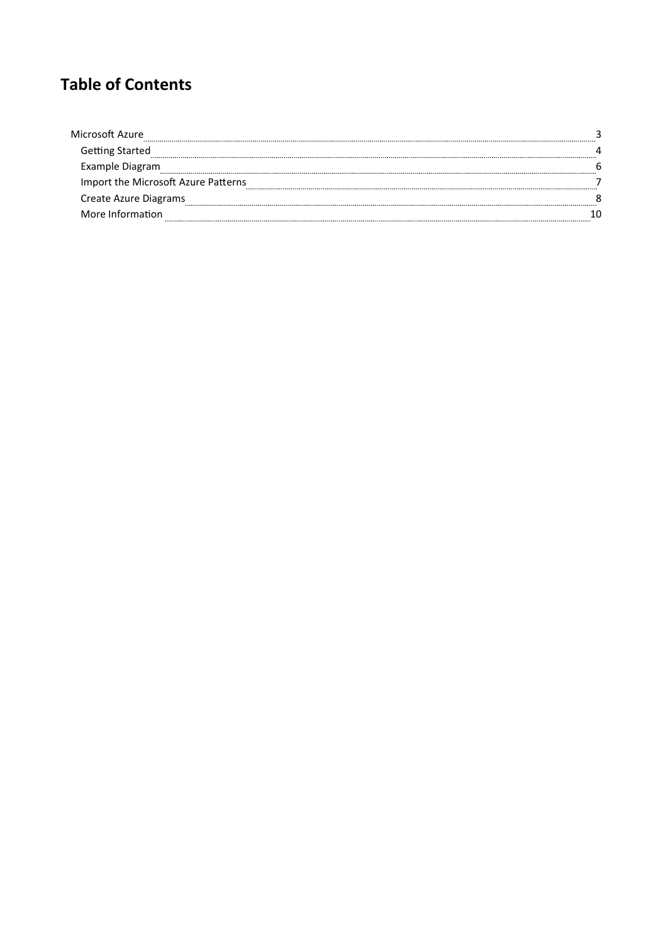### **Table of Contents**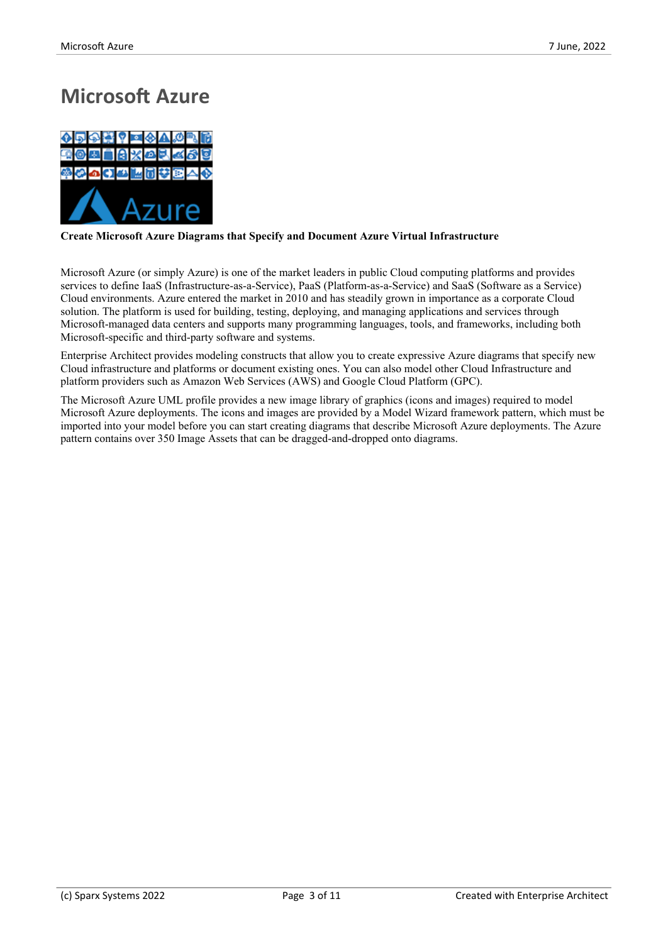### **Microsoft Azure**



#### **Create Microsoft Azure Diagrams that Specify and Document Azure Virtual Infrastructure**

Microsoft Azure (or simply Azure) is one of the market leaders in public Cloud computing platforms and provides services to define IaaS (Infrastructure-as-a-Service), PaaS (Platform-as-a-Service) and SaaS (Software asa Service) Cloud environments. Azure entered the market in 2010 and has steadily grown in importance as a corporate Cloud solution. The platform is used for building, testing, deploying, and managing applications and services through Microsoft-managed data centers and supports many programming languages, tools, and frameworks, including both Microsoft-specific and third-party software and systems.

Enterprise Architect provides modeling constructs that allow you to create expressive Azure diagrams that specify new Cloud infrastructure and platforms ordocument existing ones. You can also model other Cloud Infrastructure and platform providers such as Amazon Web Services (AWS) and Google Cloud Platform (GPC).

The Microsoft Azure UML profile provides a new image library of graphics (icons and images) required to model Microsoft Azure deployments. The icons and images are provided by a Model Wizard framework pattern, which must be imported into your model before you can start creating diagrams that describe Microsoft Azure deployments. The Azure pattern contains over 350 Image Assets that can be dragged-and-dropped onto diagrams.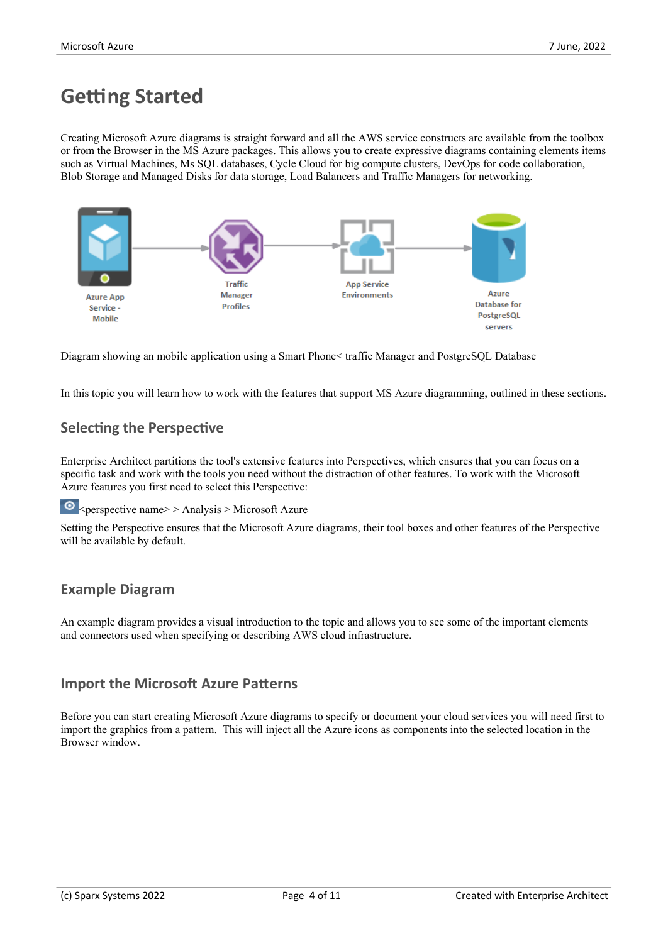### **Getting Started**

Creating Microsoft Azure diagrams is straight forward and all the AWS service constructs are available from the toolbox or from the Browser in the MS Azure packages. This allows you to create expressive diagrams containing elements items such as Virtual Machines, Ms SQL databases, Cycle Cloud for big compute clusters, DevOps for code collaboration, Blob Storage and Managed Disks for data storage, Load Balancers and Traffic Managers for networking.



Diagram showing an mobile application using a Smart Phone< traffic Manager and PostgreSQL Database

In this topic you will learn how to work with the features that support MS Azure diagramming, outlined in these sections.

#### **Selecting the Perspective**

Enterprise Architect partitions the tool's extensive features into Perspectives, which ensures that you can focus on a specific task and work with the tools you need without the distraction of other features. To work with the Microsoft Azure features you first need to select this Perspective:

 $\bullet$ <perspective name> > Analysis > Microsoft Azure

Setting the Perspective ensures that the Microsoft Azure diagrams, their tool boxes and other features of the Perspective will be available by default.

#### **Example Diagram**

An example diagram provides a visual introduction to the topic and allows you to see some of the important elements and connectors used when specifying or describing AWS cloud infrastructure.

#### **Import the Microsoft Azure Patterns**

Before you can start creating Microsoft Azure diagrams to specify or document your cloud services you will need first to import the graphics from a pattern. This will inject all the Azure icons as components into the selected location in the Browser window.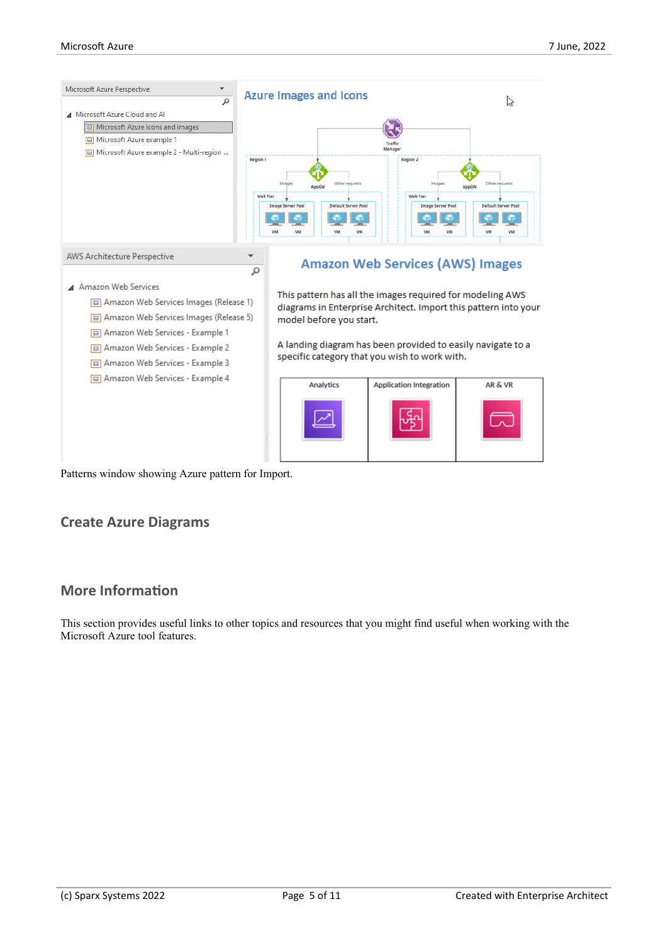

Patterns window showing Azure pattern for Import.

#### **Create Azure Diagrams**

#### **More Information**

This section provides useful links to other topics and resources that you might find useful when working with the Microsoft Azure tool features.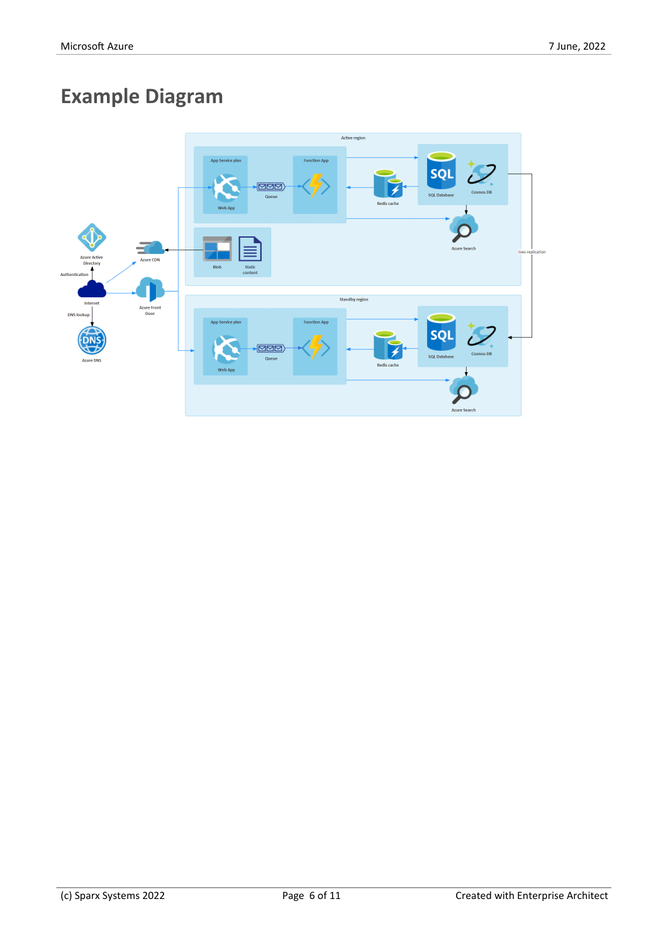# **Example Diagram**

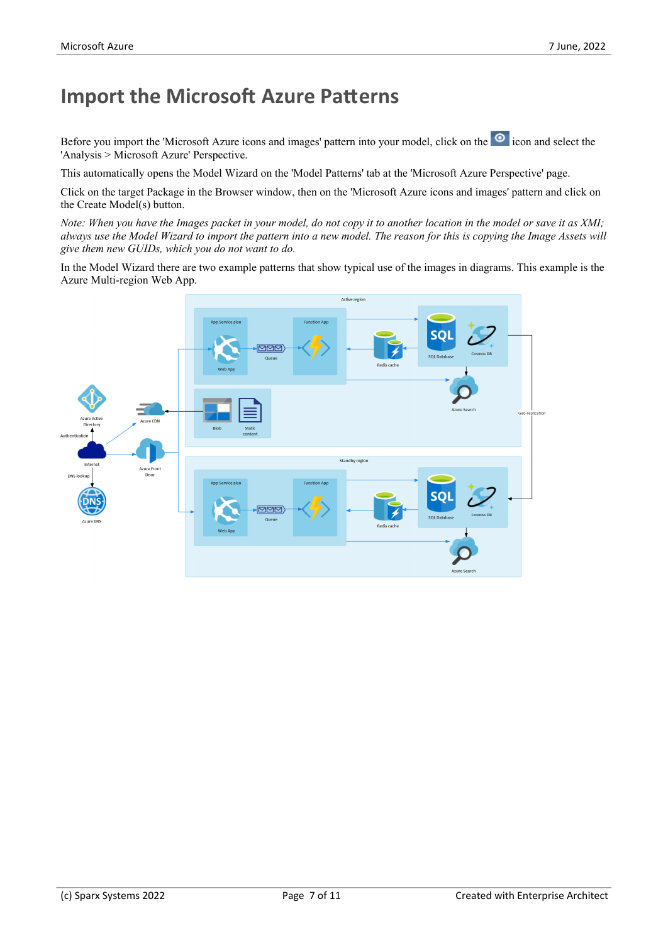### **Import the Microsoft Azure Patterns**

Before you import the 'Microsoft Azure icons and images' pattern into your model, click on the <sup>o</sup> icon and select the 'Analysis > Microsoft Azure' Perspective.

This automatically opens the Model Wizard on the 'Model Patterns' tab at the 'Microsoft Azure Perspective' page.

Click on the target Package in the Browser window, then on the 'Microsoft Azure icons and images' pattern and click on the Create Model(s) button.

Note: When you have the Images packet in your model, do not copy it to another location in the model or save it as XMI; always use the Model Wizard to import the pattern into a new model. The reason for this is copying the Image Assets will *give them new GUIDs, which you do not want to do.*

In the Model Wizard there are two example patterns that show typical use of the images in diagrams. This example is the Azure Multi-region Web App.

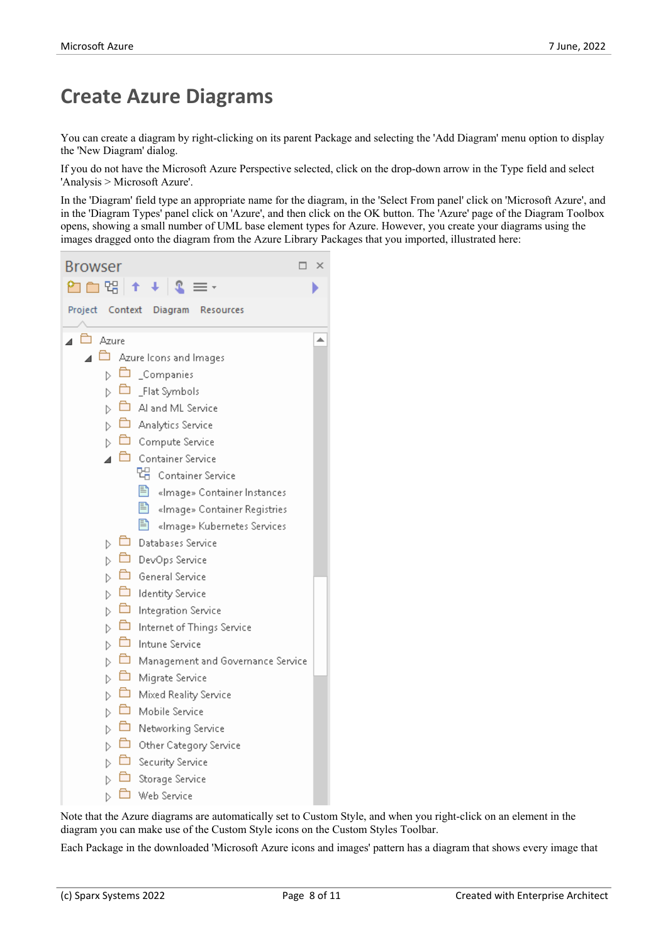### **Create Azure Diagrams**

You can create a diagram by right-clicking on its parent Package and selecting the 'Add Diagram' menu option to display the 'New Diagram' dialog.

If you do not have the Microsoft Azure Perspective selected, click on the drop-down arrow in the Type field and select 'Analysis > Microsoft Azure'.

In the 'Diagram' field type an appropriate name for the diagram, in the 'Select From panel' click on 'Microsoft Azure', and in the 'Diagram Types' panel click on 'Azure', and then click on the OK button. The 'Azure' page of the Diagram Toolbox opens, showing a small number of UML base element types for Azure. However, you create your diagrams using the images dragged onto the diagram from the Azure Library Packages that you imported, illustrated here:



Note that the Azure diagrams are automatically set to Custom Style, and when you right-click on an element in the diagram you can make use of the Custom Style icons on the Custom Styles Toolbar.

Each Package in the downloaded 'Microsoft Azure icons and images' pattern has a diagram that shows every image that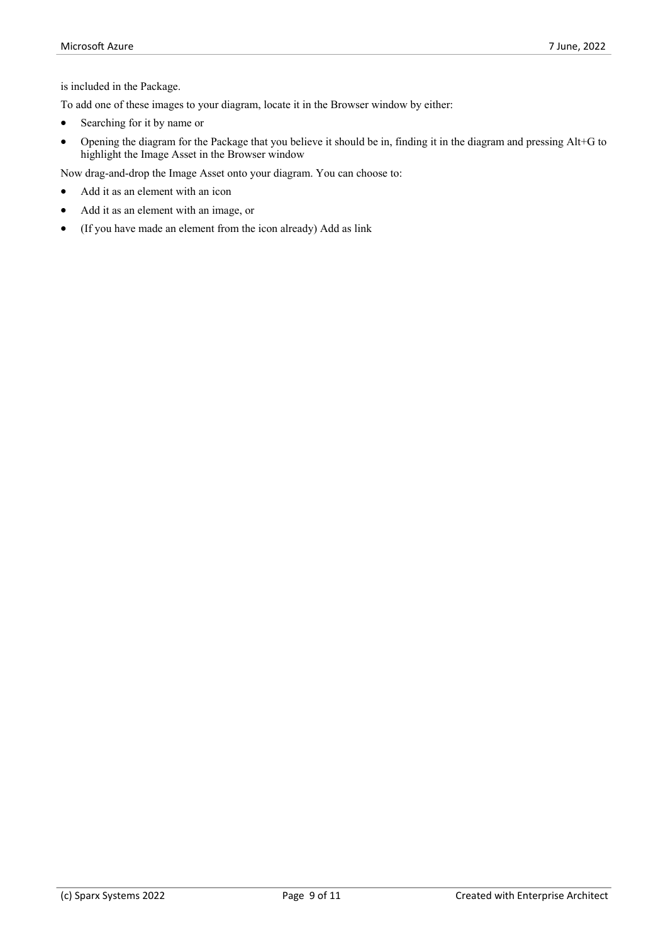is included in the Package.

To add one of these images to your diagram, locate it in the Browser window by either:

- Searching for it by name or
- · Opening the diagram for the Package that you believe it should be in, finding it in the diagram and pressingAlt+G to highlight the Image Asset in the Browser window

Now drag-and-drop the Image Asset onto your diagram. You can choose to:

- Add it as an element with an icon
- · Add it as an element with an image, or
- · (If you have made an element from the icon already) Add as link